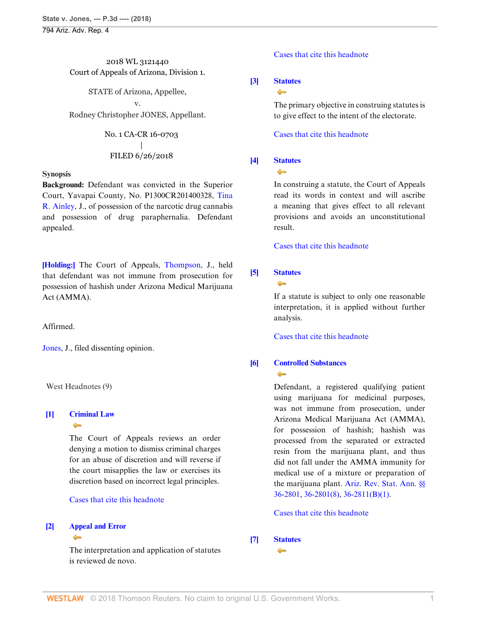794 Ariz. Adv. Rep. 4

# 2018 WL 3121440 Court of Appeals of Arizona, Division 1.

STATE of Arizona, Appellee,

v.

Rodney Christopher JONES, Appellant.

# No. 1 CA-CR 16-0703 | FILED 6/26/2018

# **Synopsis**

**Background:** Defendant was convicted in the Superior Court, Yavapai County, No. P1300CR201400328, [Tina](http://www.westlaw.com/Link/Document/FullText?findType=h&pubNum=176284&cite=0430848501&originatingDoc=Ibbf85b5079b411e881e3e57c1f40e5c7&refType=RQ&originationContext=document&vr=3.0&rs=cblt1.0&transitionType=DocumentItem&contextData=(sc.Search)) [R. Ainley](http://www.westlaw.com/Link/Document/FullText?findType=h&pubNum=176284&cite=0430848501&originatingDoc=Ibbf85b5079b411e881e3e57c1f40e5c7&refType=RQ&originationContext=document&vr=3.0&rs=cblt1.0&transitionType=DocumentItem&contextData=(sc.Search)), J., of possession of the narcotic drug cannabis and possession of drug paraphernalia. Defendant appealed.

**[\[Holding:\]](#page-0-0)** The Court of Appeals, [Thompson](http://www.westlaw.com/Link/Document/FullText?findType=h&pubNum=176284&cite=0180929601&originatingDoc=Ibbf85b5079b411e881e3e57c1f40e5c7&refType=RQ&originationContext=document&vr=3.0&rs=cblt1.0&transitionType=DocumentItem&contextData=(sc.Search)), J., held that defendant was not immune from prosecution for possession of hashish under Arizona Medical Marijuana Act (AMMA).

# Affirmed.

[Jones,](http://www.westlaw.com/Link/Document/FullText?findType=h&pubNum=176284&cite=0430848901&originatingDoc=Ibbf85b5079b411e881e3e57c1f40e5c7&refType=RQ&originationContext=document&vr=3.0&rs=cblt1.0&transitionType=DocumentItem&contextData=(sc.Search)) J., filed dissenting opinion.

West Headnotes (9)

#### <span id="page-0-1"></span>**[\[1\]](#page-1-0) [Criminal Law](http://www.westlaw.com/Browse/Home/KeyNumber/110/View.html?docGuid=Ibbf85b5079b411e881e3e57c1f40e5c7&originationContext=document&vr=3.0&rs=cblt1.0&transitionType=DocumentItem&contextData=(sc.Search))**  $\triangle$

The Court of Appeals reviews an order denying a motion to dismiss criminal charges for an abuse of discretion and will reverse if the court misapplies the law or exercises its discretion based on incorrect legal principles.

### [Cases that cite this headnote](http://www.westlaw.com/Link/RelatedInformation/DocHeadnoteLink?docGuid=Ibbf85b5079b411e881e3e57c1f40e5c7&headnoteId=204481885000120180816131328&originationContext=document&vr=3.0&rs=cblt1.0&transitionType=CitingReferences&contextData=(sc.Search))

#### <span id="page-0-2"></span>**[\[2\]](#page-1-1) [Appeal and Error](http://www.westlaw.com/Browse/Home/KeyNumber/30/View.html?docGuid=Ibbf85b5079b411e881e3e57c1f40e5c7&originationContext=document&vr=3.0&rs=cblt1.0&transitionType=DocumentItem&contextData=(sc.Search))**  $\bullet$

The interpretation and application of statutes is reviewed de novo.

# [Cases that cite this headnote](http://www.westlaw.com/Link/RelatedInformation/DocHeadnoteLink?docGuid=Ibbf85b5079b411e881e3e57c1f40e5c7&headnoteId=204481885000220180816131328&originationContext=document&vr=3.0&rs=cblt1.0&transitionType=CitingReferences&contextData=(sc.Search))

# <span id="page-0-3"></span>**[\[3\]](#page-1-2) [Statutes](http://www.westlaw.com/Browse/Home/KeyNumber/361/View.html?docGuid=Ibbf85b5079b411e881e3e57c1f40e5c7&originationContext=document&vr=3.0&rs=cblt1.0&transitionType=DocumentItem&contextData=(sc.Search))**

 $\bullet$ 

The primary objective in construing statutes is to give effect to the intent of the electorate.

[Cases that cite this headnote](http://www.westlaw.com/Link/RelatedInformation/DocHeadnoteLink?docGuid=Ibbf85b5079b411e881e3e57c1f40e5c7&headnoteId=204481885000320180816131328&originationContext=document&vr=3.0&rs=cblt1.0&transitionType=CitingReferences&contextData=(sc.Search))

# <span id="page-0-4"></span>**[\[4\]](#page-2-0) [Statutes](http://www.westlaw.com/Browse/Home/KeyNumber/361/View.html?docGuid=Ibbf85b5079b411e881e3e57c1f40e5c7&originationContext=document&vr=3.0&rs=cblt1.0&transitionType=DocumentItem&contextData=(sc.Search))**

 $\bullet$ 

In construing a statute, the Court of Appeals read its words in context and will ascribe a meaning that gives effect to all relevant provisions and avoids an unconstitutional result.

[Cases that cite this headnote](http://www.westlaw.com/Link/RelatedInformation/DocHeadnoteLink?docGuid=Ibbf85b5079b411e881e3e57c1f40e5c7&headnoteId=204481885000420180816131328&originationContext=document&vr=3.0&rs=cblt1.0&transitionType=CitingReferences&contextData=(sc.Search))

# <span id="page-0-5"></span>**[\[5\]](#page-2-1) [Statutes](http://www.westlaw.com/Browse/Home/KeyNumber/361/View.html?docGuid=Ibbf85b5079b411e881e3e57c1f40e5c7&originationContext=document&vr=3.0&rs=cblt1.0&transitionType=DocumentItem&contextData=(sc.Search))**



If a statute is subject to only one reasonable interpretation, it is applied without further analysis.

[Cases that cite this headnote](http://www.westlaw.com/Link/RelatedInformation/DocHeadnoteLink?docGuid=Ibbf85b5079b411e881e3e57c1f40e5c7&headnoteId=204481885000520180816131328&originationContext=document&vr=3.0&rs=cblt1.0&transitionType=CitingReferences&contextData=(sc.Search))

### <span id="page-0-0"></span>**[\[6\]](#page-2-2) [Controlled Substances](http://www.westlaw.com/Browse/Home/KeyNumber/96H/View.html?docGuid=Ibbf85b5079b411e881e3e57c1f40e5c7&originationContext=document&vr=3.0&rs=cblt1.0&transitionType=DocumentItem&contextData=(sc.Search))**  $\rightarrow$

Defendant, a registered qualifying patient using marijuana for medicinal purposes, was not immune from prosecution, under Arizona Medical Marijuana Act (AMMA), for possession of hashish; hashish was processed from the separated or extracted resin from the marijuana plant, and thus did not fall under the AMMA immunity for medical use of a mixture or preparation of the marijuana plant. [Ariz. Rev. Stat. Ann. §§](http://www.westlaw.com/Link/Document/FullText?findType=L&pubNum=1000251&cite=AZSTS36-2801&originatingDoc=Ibbf85b5079b411e881e3e57c1f40e5c7&refType=LQ&originationContext=document&vr=3.0&rs=cblt1.0&transitionType=DocumentItem&contextData=(sc.Search)) [36-2801, 36-2801\(8\)](http://www.westlaw.com/Link/Document/FullText?findType=L&pubNum=1000251&cite=AZSTS36-2801&originatingDoc=Ibbf85b5079b411e881e3e57c1f40e5c7&refType=LQ&originationContext=document&vr=3.0&rs=cblt1.0&transitionType=DocumentItem&contextData=(sc.Search)), [36-2811\(B\)\(1\).](http://www.westlaw.com/Link/Document/FullText?findType=L&pubNum=1000251&cite=AZSTS36-2811&originatingDoc=Ibbf85b5079b411e881e3e57c1f40e5c7&refType=LQ&originationContext=document&vr=3.0&rs=cblt1.0&transitionType=DocumentItem&contextData=(sc.Search))

# [Cases that cite this headnote](http://www.westlaw.com/Link/RelatedInformation/DocHeadnoteLink?docGuid=Ibbf85b5079b411e881e3e57c1f40e5c7&headnoteId=204481885000920180816131328&originationContext=document&vr=3.0&rs=cblt1.0&transitionType=CitingReferences&contextData=(sc.Search))

#### <span id="page-0-6"></span>**[\[7\]](#page-2-3) [Statutes](http://www.westlaw.com/Browse/Home/KeyNumber/361/View.html?docGuid=Ibbf85b5079b411e881e3e57c1f40e5c7&originationContext=document&vr=3.0&rs=cblt1.0&transitionType=DocumentItem&contextData=(sc.Search))** $\sim$

WESTLAW © 2018 Thomson Reuters. No claim to original U.S. Government Works. 1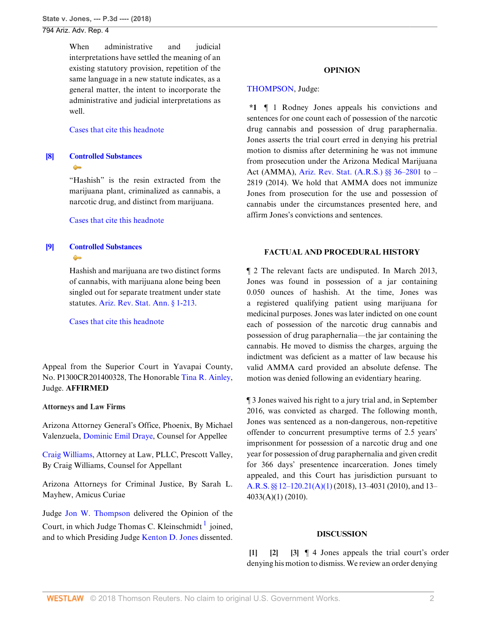794 Ariz. Adv. Rep. 4

When administrative and judicial interpretations have settled the meaning of an existing statutory provision, repetition of the same language in a new statute indicates, as a general matter, the intent to incorporate the administrative and judicial interpretations as well.

#### [Cases that cite this headnote](http://www.westlaw.com/Link/RelatedInformation/DocHeadnoteLink?docGuid=Ibbf85b5079b411e881e3e57c1f40e5c7&headnoteId=204481885000620180816131328&originationContext=document&vr=3.0&rs=cblt1.0&transitionType=CitingReferences&contextData=(sc.Search))

# <span id="page-1-3"></span>**[\[8\]](#page-3-0) [Controlled Substances](http://www.westlaw.com/Browse/Home/KeyNumber/96H/View.html?docGuid=Ibbf85b5079b411e881e3e57c1f40e5c7&originationContext=document&vr=3.0&rs=cblt1.0&transitionType=DocumentItem&contextData=(sc.Search))**  $\bullet$

"Hashish" is the resin extracted from the marijuana plant, criminalized as cannabis, a narcotic drug, and distinct from marijuana.

### [Cases that cite this headnote](http://www.westlaw.com/Link/RelatedInformation/DocHeadnoteLink?docGuid=Ibbf85b5079b411e881e3e57c1f40e5c7&headnoteId=204481885000720180816131328&originationContext=document&vr=3.0&rs=cblt1.0&transitionType=CitingReferences&contextData=(sc.Search))

# <span id="page-1-4"></span>**[\[9\]](#page-3-1) [Controlled Substances](http://www.westlaw.com/Browse/Home/KeyNumber/96H/View.html?docGuid=Ibbf85b5079b411e881e3e57c1f40e5c7&originationContext=document&vr=3.0&rs=cblt1.0&transitionType=DocumentItem&contextData=(sc.Search))**  $\triangle$

Hashish and marijuana are two distinct forms of cannabis, with marijuana alone being been singled out for separate treatment under state statutes. [Ariz. Rev. Stat. Ann. § 1-213](http://www.westlaw.com/Link/Document/FullText?findType=L&pubNum=1000251&cite=AZSTS1-213&originatingDoc=Ibbf85b5079b411e881e3e57c1f40e5c7&refType=LQ&originationContext=document&vr=3.0&rs=cblt1.0&transitionType=DocumentItem&contextData=(sc.Search)).

[Cases that cite this headnote](http://www.westlaw.com/Link/RelatedInformation/DocHeadnoteLink?docGuid=Ibbf85b5079b411e881e3e57c1f40e5c7&headnoteId=204481885000820180816131328&originationContext=document&vr=3.0&rs=cblt1.0&transitionType=CitingReferences&contextData=(sc.Search))

Appeal from the Superior Court in Yavapai County, No. P1300CR201400328, The Honorable [Tina R. Ainley](http://www.westlaw.com/Link/Document/FullText?findType=h&pubNum=176284&cite=0430848501&originatingDoc=Ibbf85b5079b411e881e3e57c1f40e5c7&refType=RQ&originationContext=document&vr=3.0&rs=cblt1.0&transitionType=DocumentItem&contextData=(sc.Search)), Judge. **AFFIRMED**

### **Attorneys and Law Firms**

Arizona Attorney General's Office, Phoenix, By Michael Valenzuela, [Dominic Emil Draye](http://www.westlaw.com/Link/Document/FullText?findType=h&pubNum=176284&cite=0426811901&originatingDoc=Ibbf85b5079b411e881e3e57c1f40e5c7&refType=RQ&originationContext=document&vr=3.0&rs=cblt1.0&transitionType=DocumentItem&contextData=(sc.Search)), Counsel for Appellee

[Craig Williams,](http://www.westlaw.com/Link/Document/FullText?findType=h&pubNum=176284&cite=0390773101&originatingDoc=Ibbf85b5079b411e881e3e57c1f40e5c7&refType=RQ&originationContext=document&vr=3.0&rs=cblt1.0&transitionType=DocumentItem&contextData=(sc.Search)) Attorney at Law, PLLC, Prescott Valley, By Craig Williams, Counsel for Appellant

Arizona Attorneys for Criminal Justice, By Sarah L. Mayhew, Amicus Curiae

Judge [Jon W. Thompson](http://www.westlaw.com/Link/Document/FullText?findType=h&pubNum=176284&cite=0180929601&originatingDoc=Ibbf85b5079b411e881e3e57c1f40e5c7&refType=RQ&originationContext=document&vr=3.0&rs=cblt1.0&transitionType=DocumentItem&contextData=(sc.Search)) delivered the Opinion of the Court, in which Judge Thomas C. Kleinschmidt <sup>[1](#page-6-0)</sup> joined, and to which Presiding Judge [Kenton D. Jones](http://www.westlaw.com/Link/Document/FullText?findType=h&pubNum=176284&cite=0430848901&originatingDoc=Ibbf85b5079b411e881e3e57c1f40e5c7&refType=RQ&originationContext=document&vr=3.0&rs=cblt1.0&transitionType=DocumentItem&contextData=(sc.Search)) dissented.

### **OPINION**

### [THOMPSON](http://www.westlaw.com/Link/Document/FullText?findType=h&pubNum=176284&cite=0180929601&originatingDoc=Ibbf85b5079b411e881e3e57c1f40e5c7&refType=RQ&originationContext=document&vr=3.0&rs=cblt1.0&transitionType=DocumentItem&contextData=(sc.Search)), Judge:

**\*1** ¶ 1 Rodney Jones appeals his convictions and sentences for one count each of possession of the narcotic drug cannabis and possession of drug paraphernalia. Jones asserts the trial court erred in denying his pretrial motion to dismiss after determining he was not immune from prosecution under the Arizona Medical Marijuana Act (AMMA), [Ariz. Rev. Stat. \(A.R.S.\) §§ 36–2801](http://www.westlaw.com/Link/Document/FullText?findType=L&pubNum=1000251&cite=AZSTS36-2801&originatingDoc=Ibbf85b5079b411e881e3e57c1f40e5c7&refType=LQ&originationContext=document&vr=3.0&rs=cblt1.0&transitionType=DocumentItem&contextData=(sc.Search)) to – 2819 (2014). We hold that AMMA does not immunize Jones from prosecution for the use and possession of cannabis under the circumstances presented here, and affirm Jones's convictions and sentences.

# **FACTUAL AND PROCEDURAL HISTORY**

¶ 2 The relevant facts are undisputed. In March 2013, Jones was found in possession of a jar containing 0.050 ounces of hashish. At the time, Jones was a registered qualifying patient using marijuana for medicinal purposes. Jones was later indicted on one count each of possession of the narcotic drug cannabis and possession of drug paraphernalia—the jar containing the cannabis. He moved to dismiss the charges, arguing the indictment was deficient as a matter of law because his valid AMMA card provided an absolute defense. The motion was denied following an evidentiary hearing.

¶ 3 Jones waived his right to a jury trial and, in September 2016, was convicted as charged. The following month, Jones was sentenced as a non-dangerous, non-repetitive offender to concurrent presumptive terms of 2.5 years' imprisonment for possession of a narcotic drug and one year for possession of drug paraphernalia and given credit for 366 days' presentence incarceration. Jones timely appealed, and this Court has jurisdiction pursuant to [A.R.S. §§ 12–120.21\(A\)\(1\)](http://www.westlaw.com/Link/Document/FullText?findType=L&pubNum=1000251&cite=AZSTS12-120.21&originatingDoc=Ibbf85b5079b411e881e3e57c1f40e5c7&refType=LQ&originationContext=document&vr=3.0&rs=cblt1.0&transitionType=DocumentItem&contextData=(sc.Search)) (2018), 13–4031 (2010), and 13– 4033(A)(1) (2010).

### <span id="page-1-2"></span><span id="page-1-1"></span>**DISCUSSION**

<span id="page-1-5"></span><span id="page-1-0"></span>**[\[1](#page-0-1)] [\[2](#page-0-2)] [\[3](#page-0-3)]** ¶ 4 Jones appeals the trial court's order denying his motion to dismiss. We review an order denying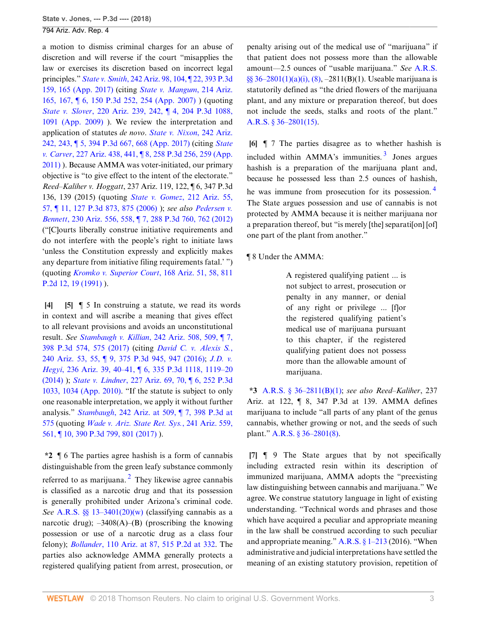a motion to dismiss criminal charges for an abuse of discretion and will reverse if the court "misapplies the law or exercises its discretion based on incorrect legal principles." *State v. Smith*[, 242 Ariz. 98, 104, ¶ 22, 393 P.3d](http://www.westlaw.com/Link/Document/FullText?findType=Y&serNum=2041233232&pubNum=0004645&originatingDoc=Ibbf85b5079b411e881e3e57c1f40e5c7&refType=RP&fi=co_pp_sp_4645_165&originationContext=document&vr=3.0&rs=cblt1.0&transitionType=DocumentItem&contextData=(sc.Search)#co_pp_sp_4645_165) [159, 165 \(App. 2017\)](http://www.westlaw.com/Link/Document/FullText?findType=Y&serNum=2041233232&pubNum=0004645&originatingDoc=Ibbf85b5079b411e881e3e57c1f40e5c7&refType=RP&fi=co_pp_sp_4645_165&originationContext=document&vr=3.0&rs=cblt1.0&transitionType=DocumentItem&contextData=(sc.Search)#co_pp_sp_4645_165) (citing *[State v. Mangum](http://www.westlaw.com/Link/Document/FullText?findType=Y&serNum=2011178598&pubNum=0004645&originatingDoc=Ibbf85b5079b411e881e3e57c1f40e5c7&refType=RP&fi=co_pp_sp_4645_254&originationContext=document&vr=3.0&rs=cblt1.0&transitionType=DocumentItem&contextData=(sc.Search)#co_pp_sp_4645_254)*, 214 Ariz. [165, 167, ¶ 6, 150 P.3d 252, 254 \(App. 2007\)](http://www.westlaw.com/Link/Document/FullText?findType=Y&serNum=2011178598&pubNum=0004645&originatingDoc=Ibbf85b5079b411e881e3e57c1f40e5c7&refType=RP&fi=co_pp_sp_4645_254&originationContext=document&vr=3.0&rs=cblt1.0&transitionType=DocumentItem&contextData=(sc.Search)#co_pp_sp_4645_254) ) (quoting *State v. Slover*[, 220 Ariz. 239, 242, ¶ 4, 204 P.3d 1088,](http://www.westlaw.com/Link/Document/FullText?findType=Y&serNum=2018105201&pubNum=0004645&originatingDoc=Ibbf85b5079b411e881e3e57c1f40e5c7&refType=RP&fi=co_pp_sp_4645_1091&originationContext=document&vr=3.0&rs=cblt1.0&transitionType=DocumentItem&contextData=(sc.Search)#co_pp_sp_4645_1091) [1091 \(App. 2009\)](http://www.westlaw.com/Link/Document/FullText?findType=Y&serNum=2018105201&pubNum=0004645&originatingDoc=Ibbf85b5079b411e881e3e57c1f40e5c7&refType=RP&fi=co_pp_sp_4645_1091&originationContext=document&vr=3.0&rs=cblt1.0&transitionType=DocumentItem&contextData=(sc.Search)#co_pp_sp_4645_1091) ). We review the interpretation and application of statutes *de novo*. *[State v. Nixon](http://www.westlaw.com/Link/Document/FullText?findType=Y&serNum=2041396750&pubNum=0004645&originatingDoc=Ibbf85b5079b411e881e3e57c1f40e5c7&refType=RP&fi=co_pp_sp_4645_668&originationContext=document&vr=3.0&rs=cblt1.0&transitionType=DocumentItem&contextData=(sc.Search)#co_pp_sp_4645_668)*, 242 Ariz. [242, 243, ¶ 5, 394 P.3d 667, 668 \(App. 2017\)](http://www.westlaw.com/Link/Document/FullText?findType=Y&serNum=2041396750&pubNum=0004645&originatingDoc=Ibbf85b5079b411e881e3e57c1f40e5c7&refType=RP&fi=co_pp_sp_4645_668&originationContext=document&vr=3.0&rs=cblt1.0&transitionType=DocumentItem&contextData=(sc.Search)#co_pp_sp_4645_668) (citing *[State](http://www.westlaw.com/Link/Document/FullText?findType=Y&serNum=2025570859&pubNum=0004645&originatingDoc=Ibbf85b5079b411e881e3e57c1f40e5c7&refType=RP&fi=co_pp_sp_4645_259&originationContext=document&vr=3.0&rs=cblt1.0&transitionType=DocumentItem&contextData=(sc.Search)#co_pp_sp_4645_259) v. Carver*[, 227 Ariz. 438, 441, ¶ 8, 258 P.3d 256, 259 \(App.](http://www.westlaw.com/Link/Document/FullText?findType=Y&serNum=2025570859&pubNum=0004645&originatingDoc=Ibbf85b5079b411e881e3e57c1f40e5c7&refType=RP&fi=co_pp_sp_4645_259&originationContext=document&vr=3.0&rs=cblt1.0&transitionType=DocumentItem&contextData=(sc.Search)#co_pp_sp_4645_259) [2011\)](http://www.westlaw.com/Link/Document/FullText?findType=Y&serNum=2025570859&pubNum=0004645&originatingDoc=Ibbf85b5079b411e881e3e57c1f40e5c7&refType=RP&fi=co_pp_sp_4645_259&originationContext=document&vr=3.0&rs=cblt1.0&transitionType=DocumentItem&contextData=(sc.Search)#co_pp_sp_4645_259) ). Because AMMA was voter-initiated, our primary objective is "to give effect to the intent of the electorate." *Reed–Kaliher v. Hoggatt*, 237 Ariz. 119, 122, ¶ 6, 347 P.3d 136, 139 (2015) (quoting *[State v. Gomez](http://www.westlaw.com/Link/Document/FullText?findType=Y&serNum=2008374610&pubNum=0004645&originatingDoc=Ibbf85b5079b411e881e3e57c1f40e5c7&refType=RP&fi=co_pp_sp_4645_875&originationContext=document&vr=3.0&rs=cblt1.0&transitionType=DocumentItem&contextData=(sc.Search)#co_pp_sp_4645_875)*, 212 Ariz. 55, [57, ¶ 11, 127 P.3d 873, 875 \(2006\)](http://www.westlaw.com/Link/Document/FullText?findType=Y&serNum=2008374610&pubNum=0004645&originatingDoc=Ibbf85b5079b411e881e3e57c1f40e5c7&refType=RP&fi=co_pp_sp_4645_875&originationContext=document&vr=3.0&rs=cblt1.0&transitionType=DocumentItem&contextData=(sc.Search)#co_pp_sp_4645_875) ); *see also [Pedersen v.](http://www.westlaw.com/Link/Document/FullText?findType=Y&serNum=2029337485&pubNum=0004645&originatingDoc=Ibbf85b5079b411e881e3e57c1f40e5c7&refType=RP&fi=co_pp_sp_4645_762&originationContext=document&vr=3.0&rs=cblt1.0&transitionType=DocumentItem&contextData=(sc.Search)#co_pp_sp_4645_762) Bennett*[, 230 Ariz. 556, 558, ¶ 7, 288 P.3d 760, 762 \(2012\)](http://www.westlaw.com/Link/Document/FullText?findType=Y&serNum=2029337485&pubNum=0004645&originatingDoc=Ibbf85b5079b411e881e3e57c1f40e5c7&refType=RP&fi=co_pp_sp_4645_762&originationContext=document&vr=3.0&rs=cblt1.0&transitionType=DocumentItem&contextData=(sc.Search)#co_pp_sp_4645_762) ("[C]ourts liberally construe initiative requirements and do not interfere with the people's right to initiate laws 'unless the Constitution expressly and explicitly makes any departure from initiative filing requirements fatal.' ") (quoting *[Kromko v. Superior Court](http://www.westlaw.com/Link/Document/FullText?findType=Y&serNum=1991090348&pubNum=0000661&originatingDoc=Ibbf85b5079b411e881e3e57c1f40e5c7&refType=RP&fi=co_pp_sp_661_19&originationContext=document&vr=3.0&rs=cblt1.0&transitionType=DocumentItem&contextData=(sc.Search)#co_pp_sp_661_19)*, 168 Ariz. 51, 58, 811 [P.2d 12, 19 \(1991\)](http://www.westlaw.com/Link/Document/FullText?findType=Y&serNum=1991090348&pubNum=0000661&originatingDoc=Ibbf85b5079b411e881e3e57c1f40e5c7&refType=RP&fi=co_pp_sp_661_19&originationContext=document&vr=3.0&rs=cblt1.0&transitionType=DocumentItem&contextData=(sc.Search)#co_pp_sp_661_19) ).

<span id="page-2-1"></span><span id="page-2-0"></span>**[\[4](#page-0-4)] [\[5](#page-0-5)]** ¶ 5 In construing a statute, we read its words in context and will ascribe a meaning that gives effect to all relevant provisions and avoids an unconstitutional result. *See Stambaugh v. Killian*[, 242 Ariz. 508, 509, ¶ 7,](http://www.westlaw.com/Link/Document/FullText?findType=Y&serNum=2042304492&pubNum=0004645&originatingDoc=Ibbf85b5079b411e881e3e57c1f40e5c7&refType=RP&fi=co_pp_sp_4645_575&originationContext=document&vr=3.0&rs=cblt1.0&transitionType=DocumentItem&contextData=(sc.Search)#co_pp_sp_4645_575) [398 P.3d 574, 575 \(2017\)](http://www.westlaw.com/Link/Document/FullText?findType=Y&serNum=2042304492&pubNum=0004645&originatingDoc=Ibbf85b5079b411e881e3e57c1f40e5c7&refType=RP&fi=co_pp_sp_4645_575&originationContext=document&vr=3.0&rs=cblt1.0&transitionType=DocumentItem&contextData=(sc.Search)#co_pp_sp_4645_575) (citing *[David C. v. Alexis S.](http://www.westlaw.com/Link/Document/FullText?findType=Y&serNum=2039485272&pubNum=0004645&originatingDoc=Ibbf85b5079b411e881e3e57c1f40e5c7&refType=RP&fi=co_pp_sp_4645_947&originationContext=document&vr=3.0&rs=cblt1.0&transitionType=DocumentItem&contextData=(sc.Search)#co_pp_sp_4645_947)*, [240 Ariz. 53, 55, ¶ 9, 375 P.3d 945, 947 \(2016\)](http://www.westlaw.com/Link/Document/FullText?findType=Y&serNum=2039485272&pubNum=0004645&originatingDoc=Ibbf85b5079b411e881e3e57c1f40e5c7&refType=RP&fi=co_pp_sp_4645_947&originationContext=document&vr=3.0&rs=cblt1.0&transitionType=DocumentItem&contextData=(sc.Search)#co_pp_sp_4645_947); *[J.D. v.](http://www.westlaw.com/Link/Document/FullText?findType=Y&serNum=2034680392&pubNum=0004645&originatingDoc=Ibbf85b5079b411e881e3e57c1f40e5c7&refType=RP&fi=co_pp_sp_4645_1119&originationContext=document&vr=3.0&rs=cblt1.0&transitionType=DocumentItem&contextData=(sc.Search)#co_pp_sp_4645_1119) Hegyi*[, 236 Ariz. 39, 40–41, ¶ 6, 335 P.3d 1118, 1119–20](http://www.westlaw.com/Link/Document/FullText?findType=Y&serNum=2034680392&pubNum=0004645&originatingDoc=Ibbf85b5079b411e881e3e57c1f40e5c7&refType=RP&fi=co_pp_sp_4645_1119&originationContext=document&vr=3.0&rs=cblt1.0&transitionType=DocumentItem&contextData=(sc.Search)#co_pp_sp_4645_1119) [\(2014\)](http://www.westlaw.com/Link/Document/FullText?findType=Y&serNum=2034680392&pubNum=0004645&originatingDoc=Ibbf85b5079b411e881e3e57c1f40e5c7&refType=RP&fi=co_pp_sp_4645_1119&originationContext=document&vr=3.0&rs=cblt1.0&transitionType=DocumentItem&contextData=(sc.Search)#co_pp_sp_4645_1119) ); *State v. Lindner*[, 227 Ariz. 69, 70, ¶ 6, 252 P.3d](http://www.westlaw.com/Link/Document/FullText?findType=Y&serNum=2023165059&pubNum=0004645&originatingDoc=Ibbf85b5079b411e881e3e57c1f40e5c7&refType=RP&fi=co_pp_sp_4645_1034&originationContext=document&vr=3.0&rs=cblt1.0&transitionType=DocumentItem&contextData=(sc.Search)#co_pp_sp_4645_1034) [1033, 1034 \(App. 2010\)](http://www.westlaw.com/Link/Document/FullText?findType=Y&serNum=2023165059&pubNum=0004645&originatingDoc=Ibbf85b5079b411e881e3e57c1f40e5c7&refType=RP&fi=co_pp_sp_4645_1034&originationContext=document&vr=3.0&rs=cblt1.0&transitionType=DocumentItem&contextData=(sc.Search)#co_pp_sp_4645_1034). "If the statute is subject to only one reasonable interpretation, we apply it without further analysis." *Stambaugh*[, 242 Ariz. at 509, ¶ 7, 398 P.3d at](http://www.westlaw.com/Link/Document/FullText?findType=Y&serNum=2042304492&pubNum=0004645&originatingDoc=Ibbf85b5079b411e881e3e57c1f40e5c7&refType=RP&fi=co_pp_sp_4645_575&originationContext=document&vr=3.0&rs=cblt1.0&transitionType=DocumentItem&contextData=(sc.Search)#co_pp_sp_4645_575) [575](http://www.westlaw.com/Link/Document/FullText?findType=Y&serNum=2042304492&pubNum=0004645&originatingDoc=Ibbf85b5079b411e881e3e57c1f40e5c7&refType=RP&fi=co_pp_sp_4645_575&originationContext=document&vr=3.0&rs=cblt1.0&transitionType=DocumentItem&contextData=(sc.Search)#co_pp_sp_4645_575) (quoting *[Wade v. Ariz. State Ret. Sys.](http://www.westlaw.com/Link/Document/FullText?findType=Y&serNum=2041293854&pubNum=0004645&originatingDoc=Ibbf85b5079b411e881e3e57c1f40e5c7&refType=RP&fi=co_pp_sp_4645_801&originationContext=document&vr=3.0&rs=cblt1.0&transitionType=DocumentItem&contextData=(sc.Search)#co_pp_sp_4645_801)*, 241 Ariz. 559, [561, ¶ 10, 390 P.3d 799, 801 \(2017\)](http://www.westlaw.com/Link/Document/FullText?findType=Y&serNum=2041293854&pubNum=0004645&originatingDoc=Ibbf85b5079b411e881e3e57c1f40e5c7&refType=RP&fi=co_pp_sp_4645_801&originationContext=document&vr=3.0&rs=cblt1.0&transitionType=DocumentItem&contextData=(sc.Search)#co_pp_sp_4645_801) ).

<span id="page-2-4"></span>**\*2** ¶ 6 The parties agree hashish is a form of cannabis distinguishable from the green leafy substance commonly referred to as marijuana.<sup>[2](#page-6-1)</sup> They likewise agree cannabis is classified as a narcotic drug and that its possession is generally prohibited under Arizona's criminal code. *See* [A.R.S. §§ 13–3401\(20\)\(w\)](http://www.westlaw.com/Link/Document/FullText?findType=L&pubNum=1000251&cite=AZSTS13-3401&originatingDoc=Ibbf85b5079b411e881e3e57c1f40e5c7&refType=LQ&originationContext=document&vr=3.0&rs=cblt1.0&transitionType=DocumentItem&contextData=(sc.Search)) (classifying cannabis as a narcotic drug);  $-3408(A)$ –(B) (proscribing the knowing possession or use of a narcotic drug as a class four felony); *Bollander*[, 110 Ariz. at 87, 515 P.2d at 332](http://www.westlaw.com/Link/Document/FullText?findType=Y&serNum=1973125355&pubNum=0000661&originatingDoc=Ibbf85b5079b411e881e3e57c1f40e5c7&refType=RP&fi=co_pp_sp_661_332&originationContext=document&vr=3.0&rs=cblt1.0&transitionType=DocumentItem&contextData=(sc.Search)#co_pp_sp_661_332). The parties also acknowledge AMMA generally protects a registered qualifying patient from arrest, prosecution, or penalty arising out of the medical use of "marijuana" if that patient does not possess more than the allowable amount—2.5 ounces of "usable marijuana." *See* [A.R.S.](http://www.westlaw.com/Link/Document/FullText?findType=L&pubNum=1000251&cite=AZSTS36-2801&originatingDoc=Ibbf85b5079b411e881e3e57c1f40e5c7&refType=LQ&originationContext=document&vr=3.0&rs=cblt1.0&transitionType=DocumentItem&contextData=(sc.Search)) [§§ 36–2801\(1\)\(a\)\(i\), \(8\)](http://www.westlaw.com/Link/Document/FullText?findType=L&pubNum=1000251&cite=AZSTS36-2801&originatingDoc=Ibbf85b5079b411e881e3e57c1f40e5c7&refType=LQ&originationContext=document&vr=3.0&rs=cblt1.0&transitionType=DocumentItem&contextData=(sc.Search)), –2811(B)(1). Useable marijuana is statutorily defined as "the dried flowers of the marijuana plant, and any mixture or preparation thereof, but does not include the seeds, stalks and roots of the plant." [A.R.S. § 36–2801\(15\).](http://www.westlaw.com/Link/Document/FullText?findType=L&pubNum=1000251&cite=AZSTS36-2801&originatingDoc=Ibbf85b5079b411e881e3e57c1f40e5c7&refType=LQ&originationContext=document&vr=3.0&rs=cblt1.0&transitionType=DocumentItem&contextData=(sc.Search))

<span id="page-2-5"></span><span id="page-2-2"></span>**[\[6](#page-0-0)]** ¶ 7 The parties disagree as to whether hashish is included within AMMA's immunities.<sup>[3](#page-6-2)</sup> Jones argues hashish is a preparation of the marijuana plant and, because he possessed less than 2.5 ounces of hashish, he was immune from prosecution for its possession. [4](#page-6-3) The State argues possession and use of cannabis is not protected by AMMA because it is neither marijuana nor a preparation thereof, but "is merely [the] separati[on] [of] one part of the plant from another."

¶ 8 Under the AMMA:

<span id="page-2-6"></span>A registered qualifying patient ... is not subject to arrest, prosecution or penalty in any manner, or denial of any right or privilege ... [f]or the registered qualifying patient's medical use of marijuana pursuant to this chapter, if the registered qualifying patient does not possess more than the allowable amount of marijuana.

**\*3** [A.R.S. § 36–2811\(B\)\(1\);](http://www.westlaw.com/Link/Document/FullText?findType=L&pubNum=1000251&cite=AZSTS36-2811&originatingDoc=Ibbf85b5079b411e881e3e57c1f40e5c7&refType=LQ&originationContext=document&vr=3.0&rs=cblt1.0&transitionType=DocumentItem&contextData=(sc.Search)) *see also Reed–Kaliher*, 237 Ariz. at 122, ¶ 8, 347 P.3d at 139. AMMA defines marijuana to include "all parts of any plant of the genus cannabis, whether growing or not, and the seeds of such plant." [A.R.S. § 36–2801\(8\).](http://www.westlaw.com/Link/Document/FullText?findType=L&pubNum=1000251&cite=AZSTS36-2801&originatingDoc=Ibbf85b5079b411e881e3e57c1f40e5c7&refType=LQ&originationContext=document&vr=3.0&rs=cblt1.0&transitionType=DocumentItem&contextData=(sc.Search))

<span id="page-2-3"></span>**[\[7](#page-0-6)]** ¶ 9 The State argues that by not specifically including extracted resin within its description of immunized marijuana, AMMA adopts the "preexisting law distinguishing between cannabis and marijuana." We agree. We construe statutory language in light of existing understanding. "Technical words and phrases and those which have acquired a peculiar and appropriate meaning in the law shall be construed according to such peculiar and appropriate meaning."  $A.R.S. \S 1-213$  (2016). "When administrative and judicial interpretations have settled the meaning of an existing statutory provision, repetition of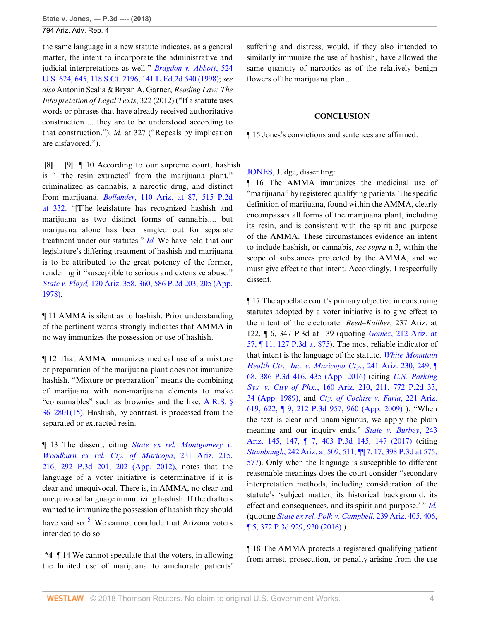the same language in a new statute indicates, as a general matter, the intent to incorporate the administrative and judicial interpretations as well." *[Bragdon v. Abbott](http://www.westlaw.com/Link/Document/FullText?findType=Y&serNum=1998132143&pubNum=0000708&originatingDoc=Ibbf85b5079b411e881e3e57c1f40e5c7&refType=RP&originationContext=document&vr=3.0&rs=cblt1.0&transitionType=DocumentItem&contextData=(sc.Search))*, 524 [U.S. 624, 645, 118 S.Ct. 2196, 141 L.Ed.2d 540 \(1998\)](http://www.westlaw.com/Link/Document/FullText?findType=Y&serNum=1998132143&pubNum=0000708&originatingDoc=Ibbf85b5079b411e881e3e57c1f40e5c7&refType=RP&originationContext=document&vr=3.0&rs=cblt1.0&transitionType=DocumentItem&contextData=(sc.Search)); *see also* Antonin Scalia & Bryan A. Garner, *Reading Law: The Interpretation of Legal Texts*, 322 (2012) ("If a statute uses words or phrases that have already received authoritative construction ... they are to be understood according to that construction."); *id.* at 327 ("Repeals by implication are disfavored.").

<span id="page-3-1"></span><span id="page-3-0"></span>**[\[8](#page-1-3)] [\[9](#page-1-4)]** ¶ 10 According to our supreme court, hashish is " 'the resin extracted' from the marijuana plant," criminalized as cannabis, a narcotic drug, and distinct from marijuana. *Bollander*[, 110 Ariz. at 87, 515 P.2d](http://www.westlaw.com/Link/Document/FullText?findType=Y&serNum=1973125355&pubNum=0000661&originatingDoc=Ibbf85b5079b411e881e3e57c1f40e5c7&refType=RP&fi=co_pp_sp_661_332&originationContext=document&vr=3.0&rs=cblt1.0&transitionType=DocumentItem&contextData=(sc.Search)#co_pp_sp_661_332) [at 332.](http://www.westlaw.com/Link/Document/FullText?findType=Y&serNum=1973125355&pubNum=0000661&originatingDoc=Ibbf85b5079b411e881e3e57c1f40e5c7&refType=RP&fi=co_pp_sp_661_332&originationContext=document&vr=3.0&rs=cblt1.0&transitionType=DocumentItem&contextData=(sc.Search)#co_pp_sp_661_332) "[T]he legislature has recognized hashish and marijuana as two distinct forms of cannabis.... but marijuana alone has been singled out for separate treatment under our statutes." *[Id.](http://www.westlaw.com/Link/Document/FullText?findType=Y&serNum=1973125355&pubNum=0000156&originatingDoc=Ibbf85b5079b411e881e3e57c1f40e5c7&refType=RP&originationContext=document&vr=3.0&rs=cblt1.0&transitionType=DocumentItem&contextData=(sc.Search))* We have held that our legislature's differing treatment of hashish and marijuana is to be attributed to the great potency of the former, rendering it "susceptible to serious and extensive abuse." *State v. Floyd,* [120 Ariz. 358, 360, 586 P.2d 203, 205 \(App.](http://www.westlaw.com/Link/Document/FullText?findType=Y&serNum=1978131269&pubNum=0000661&originatingDoc=Ibbf85b5079b411e881e3e57c1f40e5c7&refType=RP&fi=co_pp_sp_661_205&originationContext=document&vr=3.0&rs=cblt1.0&transitionType=DocumentItem&contextData=(sc.Search)#co_pp_sp_661_205) [1978\)](http://www.westlaw.com/Link/Document/FullText?findType=Y&serNum=1978131269&pubNum=0000661&originatingDoc=Ibbf85b5079b411e881e3e57c1f40e5c7&refType=RP&fi=co_pp_sp_661_205&originationContext=document&vr=3.0&rs=cblt1.0&transitionType=DocumentItem&contextData=(sc.Search)#co_pp_sp_661_205).

¶ 11 AMMA is silent as to hashish. Prior understanding of the pertinent words strongly indicates that AMMA in no way immunizes the possession or use of hashish.

¶ 12 That AMMA immunizes medical use of a mixture or preparation of the marijuana plant does not immunize hashish. "Mixture or preparation" means the combining of marijuana with non-marijuana elements to make "consumables" such as brownies and the like. [A.R.S. §](http://www.westlaw.com/Link/Document/FullText?findType=L&pubNum=1000251&cite=AZSTS36-2801&originatingDoc=Ibbf85b5079b411e881e3e57c1f40e5c7&refType=LQ&originationContext=document&vr=3.0&rs=cblt1.0&transitionType=DocumentItem&contextData=(sc.Search)) [36–2801\(15\).](http://www.westlaw.com/Link/Document/FullText?findType=L&pubNum=1000251&cite=AZSTS36-2801&originatingDoc=Ibbf85b5079b411e881e3e57c1f40e5c7&refType=LQ&originationContext=document&vr=3.0&rs=cblt1.0&transitionType=DocumentItem&contextData=(sc.Search)) Hashish, by contrast, is processed from the separated or extracted resin.

¶ 13 The dissent, citing *[State ex rel. Montgomery v.](http://www.westlaw.com/Link/Document/FullText?findType=Y&serNum=2029355122&pubNum=0004645&originatingDoc=Ibbf85b5079b411e881e3e57c1f40e5c7&refType=RP&fi=co_pp_sp_4645_202&originationContext=document&vr=3.0&rs=cblt1.0&transitionType=DocumentItem&contextData=(sc.Search)#co_pp_sp_4645_202) [Woodburn ex rel. Cty. of Maricopa](http://www.westlaw.com/Link/Document/FullText?findType=Y&serNum=2029355122&pubNum=0004645&originatingDoc=Ibbf85b5079b411e881e3e57c1f40e5c7&refType=RP&fi=co_pp_sp_4645_202&originationContext=document&vr=3.0&rs=cblt1.0&transitionType=DocumentItem&contextData=(sc.Search)#co_pp_sp_4645_202)*, 231 Ariz. 215, [216, 292 P.3d 201, 202 \(App. 2012\)](http://www.westlaw.com/Link/Document/FullText?findType=Y&serNum=2029355122&pubNum=0004645&originatingDoc=Ibbf85b5079b411e881e3e57c1f40e5c7&refType=RP&fi=co_pp_sp_4645_202&originationContext=document&vr=3.0&rs=cblt1.0&transitionType=DocumentItem&contextData=(sc.Search)#co_pp_sp_4645_202), notes that the language of a voter initiative is determinative if it is clear and unequivocal. There is, in AMMA, no clear and unequivocal language immunizing hashish. If the drafters wanted to immunize the possession of hashish they should have said so.<sup>[5](#page-6-4)</sup> We cannot conclude that Arizona voters intended to do so.

<span id="page-3-2"></span>**\*4** ¶ 14 We cannot speculate that the voters, in allowing the limited use of marijuana to ameliorate patients' suffering and distress, would, if they also intended to similarly immunize the use of hashish, have allowed the same quantity of narcotics as of the relatively benign flowers of the marijuana plant.

### **CONCLUSION**

¶ 15 Jones's convictions and sentences are affirmed.

[JONES,](http://www.westlaw.com/Link/Document/FullText?findType=h&pubNum=176284&cite=0430848901&originatingDoc=Ibbf85b5079b411e881e3e57c1f40e5c7&refType=RQ&originationContext=document&vr=3.0&rs=cblt1.0&transitionType=DocumentItem&contextData=(sc.Search)) Judge, dissenting:

¶ 16 The AMMA immunizes the medicinal use of "marijuana" by registered qualifying patients. The specific definition of marijuana, found within the AMMA, clearly encompasses all forms of the marijuana plant, including its resin, and is consistent with the spirit and purpose of the AMMA. These circumstances evidence an intent to include hashish, or cannabis, *see supra* n.3, within the scope of substances protected by the AMMA, and we must give effect to that intent. Accordingly, I respectfully dissent.

¶ 17 The appellate court's primary objective in construing statutes adopted by a voter initiative is to give effect to the intent of the electorate. *Reed–Kaliher*, 237 Ariz. at 122, ¶ 6, 347 P.3d at 139 (quoting *Gomez*[, 212 Ariz. at](http://www.westlaw.com/Link/Document/FullText?findType=Y&serNum=2008374610&pubNum=0004645&originatingDoc=Ibbf85b5079b411e881e3e57c1f40e5c7&refType=RP&fi=co_pp_sp_4645_875&originationContext=document&vr=3.0&rs=cblt1.0&transitionType=DocumentItem&contextData=(sc.Search)#co_pp_sp_4645_875) [57, ¶ 11, 127 P.3d at 875\)](http://www.westlaw.com/Link/Document/FullText?findType=Y&serNum=2008374610&pubNum=0004645&originatingDoc=Ibbf85b5079b411e881e3e57c1f40e5c7&refType=RP&fi=co_pp_sp_4645_875&originationContext=document&vr=3.0&rs=cblt1.0&transitionType=DocumentItem&contextData=(sc.Search)#co_pp_sp_4645_875). The most reliable indicator of that intent is the language of the statute. *[White Mountain](http://www.westlaw.com/Link/Document/FullText?findType=Y&serNum=2040555009&pubNum=0004645&originatingDoc=Ibbf85b5079b411e881e3e57c1f40e5c7&refType=RP&fi=co_pp_sp_4645_435&originationContext=document&vr=3.0&rs=cblt1.0&transitionType=DocumentItem&contextData=(sc.Search)#co_pp_sp_4645_435) [Health Ctr., Inc. v. Maricopa Cty.](http://www.westlaw.com/Link/Document/FullText?findType=Y&serNum=2040555009&pubNum=0004645&originatingDoc=Ibbf85b5079b411e881e3e57c1f40e5c7&refType=RP&fi=co_pp_sp_4645_435&originationContext=document&vr=3.0&rs=cblt1.0&transitionType=DocumentItem&contextData=(sc.Search)#co_pp_sp_4645_435)*, 241 Ariz. 230, 249, ¶ [68, 386 P.3d 416, 435 \(App. 2016\)](http://www.westlaw.com/Link/Document/FullText?findType=Y&serNum=2040555009&pubNum=0004645&originatingDoc=Ibbf85b5079b411e881e3e57c1f40e5c7&refType=RP&fi=co_pp_sp_4645_435&originationContext=document&vr=3.0&rs=cblt1.0&transitionType=DocumentItem&contextData=(sc.Search)#co_pp_sp_4645_435) (citing *[U.S. Parking](http://www.westlaw.com/Link/Document/FullText?findType=Y&serNum=1989050946&pubNum=0000661&originatingDoc=Ibbf85b5079b411e881e3e57c1f40e5c7&refType=RP&fi=co_pp_sp_661_34&originationContext=document&vr=3.0&rs=cblt1.0&transitionType=DocumentItem&contextData=(sc.Search)#co_pp_sp_661_34) Sys. v. City of Phx.*[, 160 Ariz. 210, 211, 772 P.2d 33,](http://www.westlaw.com/Link/Document/FullText?findType=Y&serNum=1989050946&pubNum=0000661&originatingDoc=Ibbf85b5079b411e881e3e57c1f40e5c7&refType=RP&fi=co_pp_sp_661_34&originationContext=document&vr=3.0&rs=cblt1.0&transitionType=DocumentItem&contextData=(sc.Search)#co_pp_sp_661_34) [34 \(App. 1989\),](http://www.westlaw.com/Link/Document/FullText?findType=Y&serNum=1989050946&pubNum=0000661&originatingDoc=Ibbf85b5079b411e881e3e57c1f40e5c7&refType=RP&fi=co_pp_sp_661_34&originationContext=document&vr=3.0&rs=cblt1.0&transitionType=DocumentItem&contextData=(sc.Search)#co_pp_sp_661_34) and *[Cty. of Cochise v. Faria](http://www.westlaw.com/Link/Document/FullText?findType=Y&serNum=2019128821&pubNum=0004645&originatingDoc=Ibbf85b5079b411e881e3e57c1f40e5c7&refType=RP&fi=co_pp_sp_4645_960&originationContext=document&vr=3.0&rs=cblt1.0&transitionType=DocumentItem&contextData=(sc.Search)#co_pp_sp_4645_960)*, 221 Ariz. [619, 622, ¶ 9, 212 P.3d 957, 960 \(App. 2009\)](http://www.westlaw.com/Link/Document/FullText?findType=Y&serNum=2019128821&pubNum=0004645&originatingDoc=Ibbf85b5079b411e881e3e57c1f40e5c7&refType=RP&fi=co_pp_sp_4645_960&originationContext=document&vr=3.0&rs=cblt1.0&transitionType=DocumentItem&contextData=(sc.Search)#co_pp_sp_4645_960) ). "When the text is clear and unambiguous, we apply the plain meaning and our inquiry ends." *[State v. Burbey](http://www.westlaw.com/Link/Document/FullText?findType=Y&serNum=2042878023&pubNum=0004645&originatingDoc=Ibbf85b5079b411e881e3e57c1f40e5c7&refType=RP&fi=co_pp_sp_4645_147&originationContext=document&vr=3.0&rs=cblt1.0&transitionType=DocumentItem&contextData=(sc.Search)#co_pp_sp_4645_147)*, 243 [Ariz. 145, 147, ¶ 7, 403 P.3d 145, 147 \(2017\)](http://www.westlaw.com/Link/Document/FullText?findType=Y&serNum=2042878023&pubNum=0004645&originatingDoc=Ibbf85b5079b411e881e3e57c1f40e5c7&refType=RP&fi=co_pp_sp_4645_147&originationContext=document&vr=3.0&rs=cblt1.0&transitionType=DocumentItem&contextData=(sc.Search)#co_pp_sp_4645_147) (citing *Stambaugh*[, 242 Ariz. at 509, 511, ¶¶ 7, 17, 398 P.3d at 575,](http://www.westlaw.com/Link/Document/FullText?findType=Y&serNum=2042304492&pubNum=0004645&originatingDoc=Ibbf85b5079b411e881e3e57c1f40e5c7&refType=RP&fi=co_pp_sp_4645_575&originationContext=document&vr=3.0&rs=cblt1.0&transitionType=DocumentItem&contextData=(sc.Search)#co_pp_sp_4645_575) [577](http://www.westlaw.com/Link/Document/FullText?findType=Y&serNum=2042304492&pubNum=0004645&originatingDoc=Ibbf85b5079b411e881e3e57c1f40e5c7&refType=RP&fi=co_pp_sp_4645_575&originationContext=document&vr=3.0&rs=cblt1.0&transitionType=DocumentItem&contextData=(sc.Search)#co_pp_sp_4645_575)). Only when the language is susceptible to different reasonable meanings does the court consider "secondary interpretation methods, including consideration of the statute's 'subject matter, its historical background, its effect and consequences, and its spirit and purpose.' " *[Id.](http://www.westlaw.com/Link/Document/FullText?findType=Y&serNum=2042878023&pubNum=0000156&originatingDoc=Ibbf85b5079b411e881e3e57c1f40e5c7&refType=RP&originationContext=document&vr=3.0&rs=cblt1.0&transitionType=DocumentItem&contextData=(sc.Search))* (quoting *[State ex rel. Polk v. Campbell](http://www.westlaw.com/Link/Document/FullText?findType=Y&serNum=2038881907&pubNum=0004645&originatingDoc=Ibbf85b5079b411e881e3e57c1f40e5c7&refType=RP&fi=co_pp_sp_4645_930&originationContext=document&vr=3.0&rs=cblt1.0&transitionType=DocumentItem&contextData=(sc.Search)#co_pp_sp_4645_930)*, 239 Ariz. 405, 406, [¶ 5, 372 P.3d 929, 930 \(2016\)](http://www.westlaw.com/Link/Document/FullText?findType=Y&serNum=2038881907&pubNum=0004645&originatingDoc=Ibbf85b5079b411e881e3e57c1f40e5c7&refType=RP&fi=co_pp_sp_4645_930&originationContext=document&vr=3.0&rs=cblt1.0&transitionType=DocumentItem&contextData=(sc.Search)#co_pp_sp_4645_930) ).

¶ 18 The AMMA protects a registered qualifying patient from arrest, prosecution, or penalty arising from the use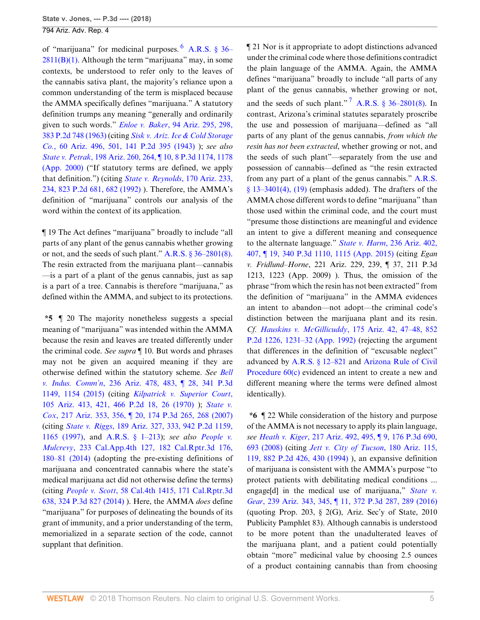of "marijuana" for medicinal purposes. [6](#page-6-5) [A.R.S. § 36–](http://www.westlaw.com/Link/Document/FullText?findType=L&pubNum=1000251&cite=AZSTS36-2811&originatingDoc=Ibbf85b5079b411e881e3e57c1f40e5c7&refType=LQ&originationContext=document&vr=3.0&rs=cblt1.0&transitionType=DocumentItem&contextData=(sc.Search))  $2811(B)(1)$ . Although the term "marijuana" may, in some contexts, be understood to refer only to the leaves of the cannabis sativa plant, the majority's reliance upon a common understanding of the term is misplaced because the AMMA specifically defines "marijuana." A statutory definition trumps any meaning "generally and ordinarily given to such words." *Enloe v. Baker*[, 94 Ariz. 295, 298,](http://www.westlaw.com/Link/Document/FullText?findType=Y&serNum=1963124240&pubNum=0000661&originatingDoc=Ibbf85b5079b411e881e3e57c1f40e5c7&refType=RP&originationContext=document&vr=3.0&rs=cblt1.0&transitionType=DocumentItem&contextData=(sc.Search)) [383 P.2d 748 \(1963\)](http://www.westlaw.com/Link/Document/FullText?findType=Y&serNum=1963124240&pubNum=0000661&originatingDoc=Ibbf85b5079b411e881e3e57c1f40e5c7&refType=RP&originationContext=document&vr=3.0&rs=cblt1.0&transitionType=DocumentItem&contextData=(sc.Search)) (citing *[Sisk v. Ariz. Ice & Cold Storage](http://www.westlaw.com/Link/Document/FullText?findType=Y&serNum=1943112808&pubNum=0000661&originatingDoc=Ibbf85b5079b411e881e3e57c1f40e5c7&refType=RP&originationContext=document&vr=3.0&rs=cblt1.0&transitionType=DocumentItem&contextData=(sc.Search)) Co.*[, 60 Ariz. 496, 501, 141 P.2d 395 \(1943\)](http://www.westlaw.com/Link/Document/FullText?findType=Y&serNum=1943112808&pubNum=0000661&originatingDoc=Ibbf85b5079b411e881e3e57c1f40e5c7&refType=RP&originationContext=document&vr=3.0&rs=cblt1.0&transitionType=DocumentItem&contextData=(sc.Search)) ); *see also State v. Petrak*[, 198 Ariz. 260, 264, ¶ 10, 8 P.3d 1174, 1178](http://www.westlaw.com/Link/Document/FullText?findType=Y&serNum=2000494678&pubNum=0004645&originatingDoc=Ibbf85b5079b411e881e3e57c1f40e5c7&refType=RP&fi=co_pp_sp_4645_1178&originationContext=document&vr=3.0&rs=cblt1.0&transitionType=DocumentItem&contextData=(sc.Search)#co_pp_sp_4645_1178) [\(App. 2000\)](http://www.westlaw.com/Link/Document/FullText?findType=Y&serNum=2000494678&pubNum=0004645&originatingDoc=Ibbf85b5079b411e881e3e57c1f40e5c7&refType=RP&fi=co_pp_sp_4645_1178&originationContext=document&vr=3.0&rs=cblt1.0&transitionType=DocumentItem&contextData=(sc.Search)#co_pp_sp_4645_1178) ("If statutory terms are defined, we apply that definition.") (citing *[State v. Reynolds](http://www.westlaw.com/Link/Document/FullText?findType=Y&serNum=1992021418&pubNum=0000661&originatingDoc=Ibbf85b5079b411e881e3e57c1f40e5c7&refType=RP&fi=co_pp_sp_661_682&originationContext=document&vr=3.0&rs=cblt1.0&transitionType=DocumentItem&contextData=(sc.Search)#co_pp_sp_661_682)*, 170 Ariz. 233, [234, 823 P.2d 681, 682 \(1992\)](http://www.westlaw.com/Link/Document/FullText?findType=Y&serNum=1992021418&pubNum=0000661&originatingDoc=Ibbf85b5079b411e881e3e57c1f40e5c7&refType=RP&fi=co_pp_sp_661_682&originationContext=document&vr=3.0&rs=cblt1.0&transitionType=DocumentItem&contextData=(sc.Search)#co_pp_sp_661_682) ). Therefore, the AMMA's definition of "marijuana" controls our analysis of the word within the context of its application.

¶ 19 The Act defines "marijuana" broadly to include "all parts of any plant of the genus cannabis whether growing or not, and the seeds of such plant." [A.R.S. § 36–2801\(8\)](http://www.westlaw.com/Link/Document/FullText?findType=L&pubNum=1000251&cite=AZSTS36-2801&originatingDoc=Ibbf85b5079b411e881e3e57c1f40e5c7&refType=LQ&originationContext=document&vr=3.0&rs=cblt1.0&transitionType=DocumentItem&contextData=(sc.Search)). The resin extracted from the marijuana plant—cannabis —is a part of a plant of the genus cannabis, just as sap is a part of a tree. Cannabis is therefore "marijuana," as defined within the AMMA, and subject to its protections.

**\*5** ¶ 20 The majority nonetheless suggests a special meaning of "marijuana" was intended within the AMMA because the resin and leaves are treated differently under the criminal code. *See supra* ¶ 10. But words and phrases may not be given an acquired meaning if they are otherwise defined within the statutory scheme. *See [Bell](http://www.westlaw.com/Link/Document/FullText?findType=Y&serNum=2035369766&pubNum=0004645&originatingDoc=Ibbf85b5079b411e881e3e57c1f40e5c7&refType=RP&fi=co_pp_sp_4645_1154&originationContext=document&vr=3.0&rs=cblt1.0&transitionType=DocumentItem&contextData=(sc.Search)#co_pp_sp_4645_1154) v. Indus. Comm'n*[, 236 Ariz. 478, 483, ¶ 28, 341 P.3d](http://www.westlaw.com/Link/Document/FullText?findType=Y&serNum=2035369766&pubNum=0004645&originatingDoc=Ibbf85b5079b411e881e3e57c1f40e5c7&refType=RP&fi=co_pp_sp_4645_1154&originationContext=document&vr=3.0&rs=cblt1.0&transitionType=DocumentItem&contextData=(sc.Search)#co_pp_sp_4645_1154) [1149, 1154 \(2015\)](http://www.westlaw.com/Link/Document/FullText?findType=Y&serNum=2035369766&pubNum=0004645&originatingDoc=Ibbf85b5079b411e881e3e57c1f40e5c7&refType=RP&fi=co_pp_sp_4645_1154&originationContext=document&vr=3.0&rs=cblt1.0&transitionType=DocumentItem&contextData=(sc.Search)#co_pp_sp_4645_1154) (citing *[Kilpatrick v. Superior Court](http://www.westlaw.com/Link/Document/FullText?findType=Y&serNum=1970130493&pubNum=0000661&originatingDoc=Ibbf85b5079b411e881e3e57c1f40e5c7&refType=RP&fi=co_pp_sp_661_26&originationContext=document&vr=3.0&rs=cblt1.0&transitionType=DocumentItem&contextData=(sc.Search)#co_pp_sp_661_26)*, [105 Ariz. 413, 421, 466 P.2d 18, 26 \(1970\)](http://www.westlaw.com/Link/Document/FullText?findType=Y&serNum=1970130493&pubNum=0000661&originatingDoc=Ibbf85b5079b411e881e3e57c1f40e5c7&refType=RP&fi=co_pp_sp_661_26&originationContext=document&vr=3.0&rs=cblt1.0&transitionType=DocumentItem&contextData=(sc.Search)#co_pp_sp_661_26) ); *[State v.](http://www.westlaw.com/Link/Document/FullText?findType=Y&serNum=2014435838&pubNum=0004645&originatingDoc=Ibbf85b5079b411e881e3e57c1f40e5c7&refType=RP&fi=co_pp_sp_4645_268&originationContext=document&vr=3.0&rs=cblt1.0&transitionType=DocumentItem&contextData=(sc.Search)#co_pp_sp_4645_268) Cox*[, 217 Ariz. 353, 356, ¶ 20, 174 P.3d 265, 268 \(2007\)](http://www.westlaw.com/Link/Document/FullText?findType=Y&serNum=2014435838&pubNum=0004645&originatingDoc=Ibbf85b5079b411e881e3e57c1f40e5c7&refType=RP&fi=co_pp_sp_4645_268&originationContext=document&vr=3.0&rs=cblt1.0&transitionType=DocumentItem&contextData=(sc.Search)#co_pp_sp_4645_268) (citing *State v. Riggs*[, 189 Ariz. 327, 333, 942 P.2d 1159,](http://www.westlaw.com/Link/Document/FullText?findType=Y&serNum=1997149935&pubNum=0000661&originatingDoc=Ibbf85b5079b411e881e3e57c1f40e5c7&refType=RP&fi=co_pp_sp_661_1165&originationContext=document&vr=3.0&rs=cblt1.0&transitionType=DocumentItem&contextData=(sc.Search)#co_pp_sp_661_1165) [1165 \(1997\)](http://www.westlaw.com/Link/Document/FullText?findType=Y&serNum=1997149935&pubNum=0000661&originatingDoc=Ibbf85b5079b411e881e3e57c1f40e5c7&refType=RP&fi=co_pp_sp_661_1165&originationContext=document&vr=3.0&rs=cblt1.0&transitionType=DocumentItem&contextData=(sc.Search)#co_pp_sp_661_1165), and [A.R.S. § 1–213\)](http://www.westlaw.com/Link/Document/FullText?findType=L&pubNum=1000251&cite=AZSTS1-213&originatingDoc=Ibbf85b5079b411e881e3e57c1f40e5c7&refType=LQ&originationContext=document&vr=3.0&rs=cblt1.0&transitionType=DocumentItem&contextData=(sc.Search)); *see also [People v.](http://www.westlaw.com/Link/Document/FullText?findType=Y&serNum=2035289776&pubNum=0007047&originatingDoc=Ibbf85b5079b411e881e3e57c1f40e5c7&refType=RP&fi=co_pp_sp_7047_180&originationContext=document&vr=3.0&rs=cblt1.0&transitionType=DocumentItem&contextData=(sc.Search)#co_pp_sp_7047_180) Mulcrevy*[, 233 Cal.App.4th 127, 182 Cal.Rptr.3d 176,](http://www.westlaw.com/Link/Document/FullText?findType=Y&serNum=2035289776&pubNum=0007047&originatingDoc=Ibbf85b5079b411e881e3e57c1f40e5c7&refType=RP&fi=co_pp_sp_7047_180&originationContext=document&vr=3.0&rs=cblt1.0&transitionType=DocumentItem&contextData=(sc.Search)#co_pp_sp_7047_180) [180–81 \(2014\)](http://www.westlaw.com/Link/Document/FullText?findType=Y&serNum=2035289776&pubNum=0007047&originatingDoc=Ibbf85b5079b411e881e3e57c1f40e5c7&refType=RP&fi=co_pp_sp_7047_180&originationContext=document&vr=3.0&rs=cblt1.0&transitionType=DocumentItem&contextData=(sc.Search)#co_pp_sp_7047_180) (adopting the pre-existing definitions of marijuana and concentrated cannabis where the state's medical marijuana act did not otherwise define the terms) (citing *People v. Scott*[, 58 Cal.4th 1415, 171 Cal.Rptr.3d](http://www.westlaw.com/Link/Document/FullText?findType=Y&serNum=2033407277&pubNum=0004645&originatingDoc=Ibbf85b5079b411e881e3e57c1f40e5c7&refType=RP&originationContext=document&vr=3.0&rs=cblt1.0&transitionType=DocumentItem&contextData=(sc.Search)) [638, 324 P.3d 827 \(2014\)](http://www.westlaw.com/Link/Document/FullText?findType=Y&serNum=2033407277&pubNum=0004645&originatingDoc=Ibbf85b5079b411e881e3e57c1f40e5c7&refType=RP&originationContext=document&vr=3.0&rs=cblt1.0&transitionType=DocumentItem&contextData=(sc.Search)) ). Here, the AMMA *does* define "marijuana" for purposes of delineating the bounds of its grant of immunity, and a prior understanding of the term, memorialized in a separate section of the code, cannot supplant that definition.

<span id="page-4-1"></span><span id="page-4-0"></span>¶ 21 Nor is it appropriate to adopt distinctions advanced under the criminal code where those definitions contradict the plain language of the AMMA. Again, the AMMA defines "marijuana" broadly to include "all parts of any plant of the genus cannabis, whether growing or not, and the seeds of such plant."<sup>[7](#page-6-6)</sup> A.R.S.  $\frac{$36-2801}{8}$ . In contrast, Arizona's criminal statutes separately proscribe the use and possession of marijuana—defined as "all parts of any plant of the genus cannabis, *from which the resin has not been extracted*, whether growing or not, and the seeds of such plant"—separately from the use and possession of cannabis—defined as "the resin extracted from any part of a plant of the genus cannabis." [A.R.S.](http://www.westlaw.com/Link/Document/FullText?findType=L&pubNum=1000251&cite=AZSTS13-3401&originatingDoc=Ibbf85b5079b411e881e3e57c1f40e5c7&refType=LQ&originationContext=document&vr=3.0&rs=cblt1.0&transitionType=DocumentItem&contextData=(sc.Search))  $§$  13–3401(4), (19) (emphasis added). The drafters of the AMMA chose different words to define "marijuana" than those used within the criminal code, and the court must "presume those distinctions are meaningful and evidence an intent to give a different meaning and consequence to the alternate language." *State v. Harm*[, 236 Ariz. 402,](http://www.westlaw.com/Link/Document/FullText?findType=Y&serNum=2035259663&pubNum=0004645&originatingDoc=Ibbf85b5079b411e881e3e57c1f40e5c7&refType=RP&fi=co_pp_sp_4645_1115&originationContext=document&vr=3.0&rs=cblt1.0&transitionType=DocumentItem&contextData=(sc.Search)#co_pp_sp_4645_1115) [407, ¶ 19, 340 P.3d 1110, 1115 \(App. 2015\)](http://www.westlaw.com/Link/Document/FullText?findType=Y&serNum=2035259663&pubNum=0004645&originatingDoc=Ibbf85b5079b411e881e3e57c1f40e5c7&refType=RP&fi=co_pp_sp_4645_1115&originationContext=document&vr=3.0&rs=cblt1.0&transitionType=DocumentItem&contextData=(sc.Search)#co_pp_sp_4645_1115) (citing *Egan v. Fridlund–Horne*, 221 Ariz. 229, 239, ¶ 37, 211 P.3d 1213, 1223 (App. 2009) ). Thus, the omission of the phrase "from which the resin has not been extracted" from the definition of "marijuana" in the AMMA evidences an intent to abandon—not adopt—the criminal code's distinction between the marijuana plant and its resin. *Cf. Hauskins v. McGillicuddy*[, 175 Ariz. 42, 47–48, 852](http://www.westlaw.com/Link/Document/FullText?findType=Y&serNum=1992181586&pubNum=0000661&originatingDoc=Ibbf85b5079b411e881e3e57c1f40e5c7&refType=RP&fi=co_pp_sp_661_1231&originationContext=document&vr=3.0&rs=cblt1.0&transitionType=DocumentItem&contextData=(sc.Search)#co_pp_sp_661_1231) [P.2d 1226, 1231–32 \(App. 1992\)](http://www.westlaw.com/Link/Document/FullText?findType=Y&serNum=1992181586&pubNum=0000661&originatingDoc=Ibbf85b5079b411e881e3e57c1f40e5c7&refType=RP&fi=co_pp_sp_661_1231&originationContext=document&vr=3.0&rs=cblt1.0&transitionType=DocumentItem&contextData=(sc.Search)#co_pp_sp_661_1231) (rejecting the argument that differences in the definition of "excusable neglect" advanced by [A.R.S. § 12–821](http://www.westlaw.com/Link/Document/FullText?findType=L&pubNum=1000251&cite=AZSTS12-821&originatingDoc=Ibbf85b5079b411e881e3e57c1f40e5c7&refType=LQ&originationContext=document&vr=3.0&rs=cblt1.0&transitionType=DocumentItem&contextData=(sc.Search)) and [Arizona Rule of Civil](http://www.westlaw.com/Link/Document/FullText?findType=L&pubNum=1003572&cite=AZSTRCPR60&originatingDoc=Ibbf85b5079b411e881e3e57c1f40e5c7&refType=LQ&originationContext=document&vr=3.0&rs=cblt1.0&transitionType=DocumentItem&contextData=(sc.Search)) [Procedure 60\(c\)](http://www.westlaw.com/Link/Document/FullText?findType=L&pubNum=1003572&cite=AZSTRCPR60&originatingDoc=Ibbf85b5079b411e881e3e57c1f40e5c7&refType=LQ&originationContext=document&vr=3.0&rs=cblt1.0&transitionType=DocumentItem&contextData=(sc.Search)) evidenced an intent to create a new and different meaning where the terms were defined almost identically).

**\*6** ¶ 22 While consideration of the history and purpose of the AMMA is not necessary to apply its plain language, *see Heath v. Kiger*[, 217 Ariz. 492, 495, ¶ 9, 176 P.3d 690,](http://www.westlaw.com/Link/Document/FullText?findType=Y&serNum=2015296995&pubNum=0004645&originatingDoc=Ibbf85b5079b411e881e3e57c1f40e5c7&refType=RP&fi=co_pp_sp_4645_693&originationContext=document&vr=3.0&rs=cblt1.0&transitionType=DocumentItem&contextData=(sc.Search)#co_pp_sp_4645_693) [693 \(2008\)](http://www.westlaw.com/Link/Document/FullText?findType=Y&serNum=2015296995&pubNum=0004645&originatingDoc=Ibbf85b5079b411e881e3e57c1f40e5c7&refType=RP&fi=co_pp_sp_4645_693&originationContext=document&vr=3.0&rs=cblt1.0&transitionType=DocumentItem&contextData=(sc.Search)#co_pp_sp_4645_693) (citing *[Jett v. City of Tucson](http://www.westlaw.com/Link/Document/FullText?findType=Y&serNum=1994196271&pubNum=0000661&originatingDoc=Ibbf85b5079b411e881e3e57c1f40e5c7&refType=RP&fi=co_pp_sp_661_430&originationContext=document&vr=3.0&rs=cblt1.0&transitionType=DocumentItem&contextData=(sc.Search)#co_pp_sp_661_430)*, 180 Ariz. 115, [119, 882 P.2d 426, 430 \(1994\)](http://www.westlaw.com/Link/Document/FullText?findType=Y&serNum=1994196271&pubNum=0000661&originatingDoc=Ibbf85b5079b411e881e3e57c1f40e5c7&refType=RP&fi=co_pp_sp_661_430&originationContext=document&vr=3.0&rs=cblt1.0&transitionType=DocumentItem&contextData=(sc.Search)#co_pp_sp_661_430) ), an expansive definition of marijuana is consistent with the AMMA's purpose "to protect patients with debilitating medical conditions ... engage[d] in the medical use of marijuana," *[State v.](http://www.westlaw.com/Link/Document/FullText?findType=Y&serNum=2038807866&pubNum=0004645&originatingDoc=Ibbf85b5079b411e881e3e57c1f40e5c7&refType=RP&fi=co_pp_sp_4645_289&originationContext=document&vr=3.0&rs=cblt1.0&transitionType=DocumentItem&contextData=(sc.Search)#co_pp_sp_4645_289) Gear*[, 239 Ariz. 343, 345, ¶ 11, 372 P.3d 287, 289 \(2016\)](http://www.westlaw.com/Link/Document/FullText?findType=Y&serNum=2038807866&pubNum=0004645&originatingDoc=Ibbf85b5079b411e881e3e57c1f40e5c7&refType=RP&fi=co_pp_sp_4645_289&originationContext=document&vr=3.0&rs=cblt1.0&transitionType=DocumentItem&contextData=(sc.Search)#co_pp_sp_4645_289) (quoting Prop. 203,  $\S$  2(G), Ariz. Sec'y of State, 2010 Publicity Pamphlet 83). Although cannabis is understood to be more potent than the unadulterated leaves of the marijuana plant, and a patient could potentially obtain "more" medicinal value by choosing 2.5 ounces of a product containing cannabis than from choosing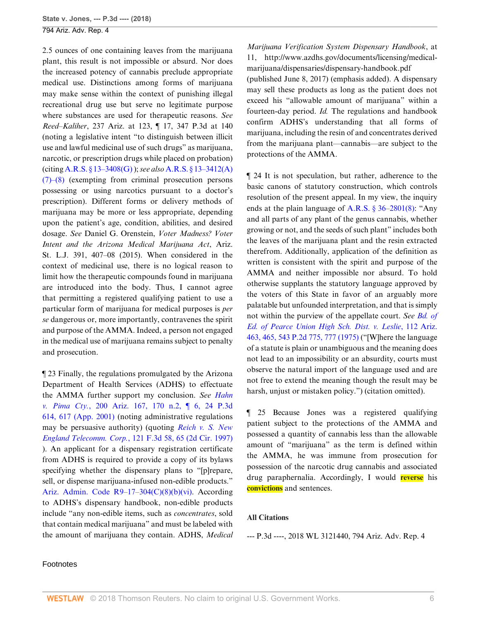2.5 ounces of one containing leaves from the marijuana plant, this result is not impossible or absurd. Nor does the increased potency of cannabis preclude appropriate medical use. Distinctions among forms of marijuana may make sense within the context of punishing illegal recreational drug use but serve no legitimate purpose where substances are used for therapeutic reasons. *See Reed–Kaliher*, 237 Ariz. at 123, ¶ 17, 347 P.3d at 140 (noting a legislative intent "to distinguish between illicit use and lawful medicinal use of such drugs" as marijuana, narcotic, or prescription drugs while placed on probation) (citing [A.R.S. § 13–3408\(G\)](http://www.westlaw.com/Link/Document/FullText?findType=L&pubNum=1000251&cite=AZSTS13-3408&originatingDoc=Ibbf85b5079b411e881e3e57c1f40e5c7&refType=LQ&originationContext=document&vr=3.0&rs=cblt1.0&transitionType=DocumentItem&contextData=(sc.Search)) ); *see also* [A.R.S. § 13–3412\(A\)](http://www.westlaw.com/Link/Document/FullText?findType=L&pubNum=1000251&cite=AZSTS13-3412&originatingDoc=Ibbf85b5079b411e881e3e57c1f40e5c7&refType=LQ&originationContext=document&vr=3.0&rs=cblt1.0&transitionType=DocumentItem&contextData=(sc.Search)) [\(7\)–\(8\)](http://www.westlaw.com/Link/Document/FullText?findType=L&pubNum=1000251&cite=AZSTS13-3412&originatingDoc=Ibbf85b5079b411e881e3e57c1f40e5c7&refType=LQ&originationContext=document&vr=3.0&rs=cblt1.0&transitionType=DocumentItem&contextData=(sc.Search)) (exempting from criminal prosecution persons possessing or using narcotics pursuant to a doctor's prescription). Different forms or delivery methods of marijuana may be more or less appropriate, depending upon the patient's age, condition, abilities, and desired dosage. *See* Daniel G. Orenstein, *Voter Madness? Voter Intent and the Arizona Medical Marijuana Act*, Ariz. St. L.J. 391, 407–08 (2015). When considered in the context of medicinal use, there is no logical reason to limit how the therapeutic compounds found in marijuana are introduced into the body. Thus, I cannot agree that permitting a registered qualifying patient to use a particular form of marijuana for medical purposes is *per se* dangerous or, more importantly, contravenes the spirit and purpose of the AMMA. Indeed, a person not engaged in the medical use of marijuana remains subject to penalty and prosecution.

¶ 23 Finally, the regulations promulgated by the Arizona Department of Health Services (ADHS) to effectuate the AMMA further support my conclusion. *See [Hahn](http://www.westlaw.com/Link/Document/FullText?findType=Y&serNum=2001456500&pubNum=0004645&originatingDoc=Ibbf85b5079b411e881e3e57c1f40e5c7&refType=RP&fi=co_pp_sp_4645_617&originationContext=document&vr=3.0&rs=cblt1.0&transitionType=DocumentItem&contextData=(sc.Search)#co_pp_sp_4645_617) v. Pima Cty.*[, 200 Ariz. 167, 170 n.2, ¶ 6, 24 P.3d](http://www.westlaw.com/Link/Document/FullText?findType=Y&serNum=2001456500&pubNum=0004645&originatingDoc=Ibbf85b5079b411e881e3e57c1f40e5c7&refType=RP&fi=co_pp_sp_4645_617&originationContext=document&vr=3.0&rs=cblt1.0&transitionType=DocumentItem&contextData=(sc.Search)#co_pp_sp_4645_617) [614, 617 \(App. 2001\)](http://www.westlaw.com/Link/Document/FullText?findType=Y&serNum=2001456500&pubNum=0004645&originatingDoc=Ibbf85b5079b411e881e3e57c1f40e5c7&refType=RP&fi=co_pp_sp_4645_617&originationContext=document&vr=3.0&rs=cblt1.0&transitionType=DocumentItem&contextData=(sc.Search)#co_pp_sp_4645_617) (noting administrative regulations may be persuasive authority) (quoting *[Reich v. S. New](http://www.westlaw.com/Link/Document/FullText?findType=Y&serNum=1997161418&pubNum=0000506&originatingDoc=Ibbf85b5079b411e881e3e57c1f40e5c7&refType=RP&fi=co_pp_sp_506_65&originationContext=document&vr=3.0&rs=cblt1.0&transitionType=DocumentItem&contextData=(sc.Search)#co_pp_sp_506_65) England Telecomm. Corp.*[, 121 F.3d 58, 65 \(2d Cir. 1997\)](http://www.westlaw.com/Link/Document/FullText?findType=Y&serNum=1997161418&pubNum=0000506&originatingDoc=Ibbf85b5079b411e881e3e57c1f40e5c7&refType=RP&fi=co_pp_sp_506_65&originationContext=document&vr=3.0&rs=cblt1.0&transitionType=DocumentItem&contextData=(sc.Search)#co_pp_sp_506_65) ). An applicant for a dispensary registration certificate from ADHS is required to provide a copy of its bylaws specifying whether the dispensary plans to "[p]repare, sell, or dispense marijuana-infused non-edible products." [Ariz. Admin. Code R9–17–304\(C\)\(8\)\(b\)\(vi\).](http://www.westlaw.com/Link/Document/FullText?findType=L&pubNum=1010952&cite=AZADCR9-17-304&originatingDoc=Ibbf85b5079b411e881e3e57c1f40e5c7&refType=LQ&originationContext=document&vr=3.0&rs=cblt1.0&transitionType=DocumentItem&contextData=(sc.Search)) According to ADHS's dispensary handbook, non-edible products include "any non-edible items, such as *concentrates*, sold that contain medical marijuana" and must be labeled with the amount of marijuana they contain. ADHS, *Medical*

*Marijuana Verification System Dispensary Handbook*, at 11, http://www.azdhs.gov/documents/licensing/medicalmarijuana/dispensaries/dispensary-handbook.pdf (published June 8, 2017) (emphasis added). A dispensary may sell these products as long as the patient does not exceed his "allowable amount of marijuana" within a fourteen-day period. *Id.* The regulations and handbook confirm ADHS's understanding that all forms of marijuana, including the resin of and concentrates derived from the marijuana plant—cannabis—are subject to the protections of the AMMA.

¶ 24 It is not speculation, but rather, adherence to the basic canons of statutory construction, which controls resolution of the present appeal. In my view, the inquiry ends at the plain language of [A.R.S. § 36–2801\(8\):](http://www.westlaw.com/Link/Document/FullText?findType=L&pubNum=1000251&cite=AZSTS36-2801&originatingDoc=Ibbf85b5079b411e881e3e57c1f40e5c7&refType=LQ&originationContext=document&vr=3.0&rs=cblt1.0&transitionType=DocumentItem&contextData=(sc.Search)) "Any and all parts of any plant of the genus cannabis, whether growing or not, and the seeds of such plant" includes both the leaves of the marijuana plant and the resin extracted therefrom. Additionally, application of the definition as written is consistent with the spirit and purpose of the AMMA and neither impossible nor absurd. To hold otherwise supplants the statutory language approved by the voters of this State in favor of an arguably more palatable but unfounded interpretation, and that is simply not within the purview of the appellate court. *See [Bd. of](http://www.westlaw.com/Link/Document/FullText?findType=Y&serNum=1975129326&pubNum=0000661&originatingDoc=Ibbf85b5079b411e881e3e57c1f40e5c7&refType=RP&fi=co_pp_sp_661_777&originationContext=document&vr=3.0&rs=cblt1.0&transitionType=DocumentItem&contextData=(sc.Search)#co_pp_sp_661_777) [Ed. of Pearce Union High Sch. Dist. v. Leslie](http://www.westlaw.com/Link/Document/FullText?findType=Y&serNum=1975129326&pubNum=0000661&originatingDoc=Ibbf85b5079b411e881e3e57c1f40e5c7&refType=RP&fi=co_pp_sp_661_777&originationContext=document&vr=3.0&rs=cblt1.0&transitionType=DocumentItem&contextData=(sc.Search)#co_pp_sp_661_777)*, 112 Ariz. [463, 465, 543 P.2d 775, 777 \(1975\)](http://www.westlaw.com/Link/Document/FullText?findType=Y&serNum=1975129326&pubNum=0000661&originatingDoc=Ibbf85b5079b411e881e3e57c1f40e5c7&refType=RP&fi=co_pp_sp_661_777&originationContext=document&vr=3.0&rs=cblt1.0&transitionType=DocumentItem&contextData=(sc.Search)#co_pp_sp_661_777) ("[W]here the language of a statute is plain or unambiguous and the meaning does not lead to an impossibility or an absurdity, courts must observe the natural import of the language used and are not free to extend the meaning though the result may be harsh, unjust or mistaken policy.") (citation omitted).

¶ 25 Because Jones was a registered qualifying patient subject to the protections of the AMMA and possessed a quantity of cannabis less than the allowable amount of "marijuana" as the term is defined within the AMMA, he was immune from prosecution for possession of the narcotic drug cannabis and associated drug paraphernalia. Accordingly, I would **reverse** his **convictions** and sentences.

### **All Citations**

--- P.3d ----, 2018 WL 3121440, 794 Ariz. Adv. Rep. 4

#### Footnotes